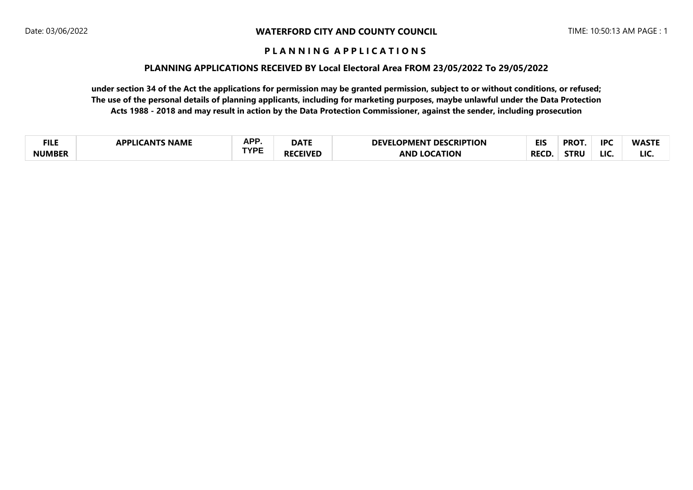#### **PLANNING APPLICATIONS RECEIVED BY Local Electoral Area FROM 23/05/2022 To 29/05/2022**

| <b>FILE</b>   | <b>NAME</b><br>. ANT <sup>e</sup><br>I DDI | <b>APP</b> | <b>DATE</b> | <b>ESCRIPTION</b><br>DEVΓ<br>DES <sub>0</sub><br>ОРМЕНТ | <b>EIS</b>  | <b>PROT</b> | <b>IPC</b> | <b>WASTE</b> |
|---------------|--------------------------------------------|------------|-------------|---------------------------------------------------------|-------------|-------------|------------|--------------|
| <b>NUMBER</b> |                                            | TVDC       | FIVEI       | <b>ATION</b><br><b>AND</b>                              | <b>RECI</b> | <b>STRL</b> | <b>LIC</b> | <b>LIC</b>   |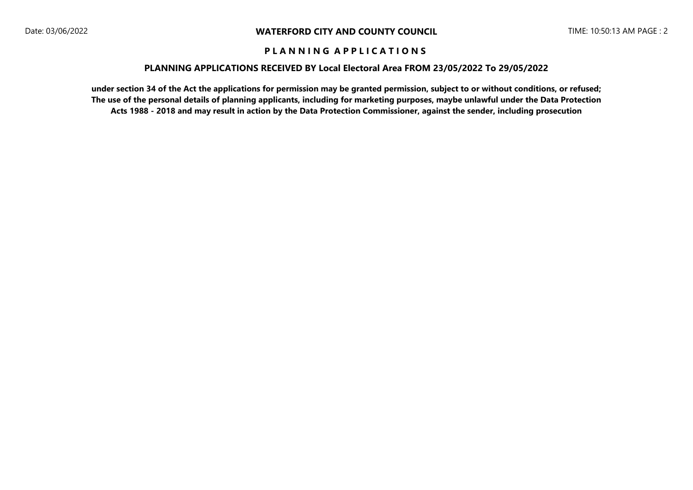#### **PLANNING APPLICATIONS RECEIVED BY Local Electoral Area FROM 23/05/2022 To 29/05/2022**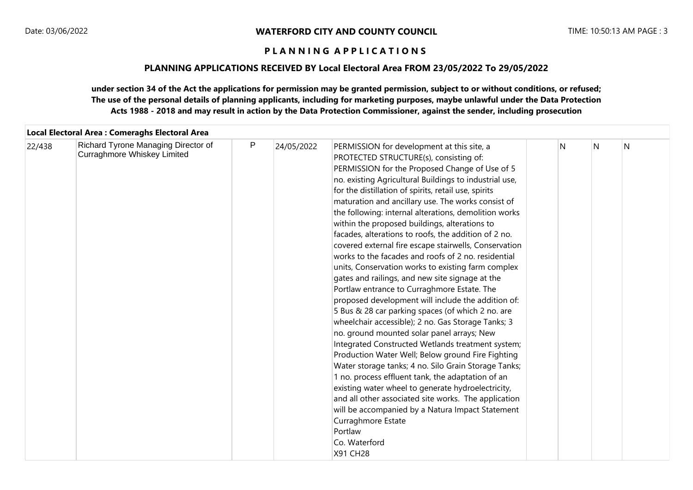#### **PLANNING APPLICATIONS RECEIVED BY Local Electoral Area FROM 23/05/2022 To 29/05/2022**

|        | Local Electoral Area : Comeraghs Electoral Area                    |   |            |                                                                                                                                                                                                                                                                                                                                                                                                                                                                                                                                                                                                                                                                                                                                                                                                                                                                                                                                                                                                                                                                                                                                                                                                                                                                                                                                                                                                                                |   |   |   |
|--------|--------------------------------------------------------------------|---|------------|--------------------------------------------------------------------------------------------------------------------------------------------------------------------------------------------------------------------------------------------------------------------------------------------------------------------------------------------------------------------------------------------------------------------------------------------------------------------------------------------------------------------------------------------------------------------------------------------------------------------------------------------------------------------------------------------------------------------------------------------------------------------------------------------------------------------------------------------------------------------------------------------------------------------------------------------------------------------------------------------------------------------------------------------------------------------------------------------------------------------------------------------------------------------------------------------------------------------------------------------------------------------------------------------------------------------------------------------------------------------------------------------------------------------------------|---|---|---|
| 22/438 | Richard Tyrone Managing Director of<br>Curraghmore Whiskey Limited | P | 24/05/2022 | PERMISSION for development at this site, a<br>PROTECTED STRUCTURE(s), consisting of:<br>PERMISSION for the Proposed Change of Use of 5<br>no. existing Agricultural Buildings to industrial use,<br>for the distillation of spirits, retail use, spirits<br>maturation and ancillary use. The works consist of<br>the following: internal alterations, demolition works<br>within the proposed buildings, alterations to<br>facades, alterations to roofs, the addition of 2 no.<br>covered external fire escape stairwells, Conservation<br>works to the facades and roofs of 2 no. residential<br>units, Conservation works to existing farm complex<br>gates and railings, and new site signage at the<br>Portlaw entrance to Curraghmore Estate. The<br>proposed development will include the addition of:<br>5 Bus & 28 car parking spaces (of which 2 no. are<br>wheelchair accessible); 2 no. Gas Storage Tanks; 3<br>no. ground mounted solar panel arrays; New<br>Integrated Constructed Wetlands treatment system;<br>Production Water Well; Below ground Fire Fighting<br>Water storage tanks; 4 no. Silo Grain Storage Tanks;<br>1 no. process effluent tank, the adaptation of an<br>existing water wheel to generate hydroelectricity,<br>and all other associated site works. The application<br>will be accompanied by a Natura Impact Statement<br>Curraghmore Estate<br>Portlaw<br>Co. Waterford<br>X91 CH28 | N | N | N |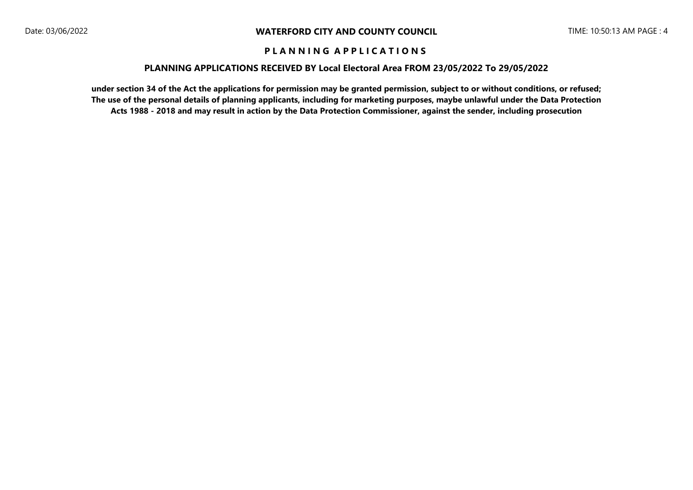#### **PLANNING APPLICATIONS RECEIVED BY Local Electoral Area FROM 23/05/2022 To 29/05/2022**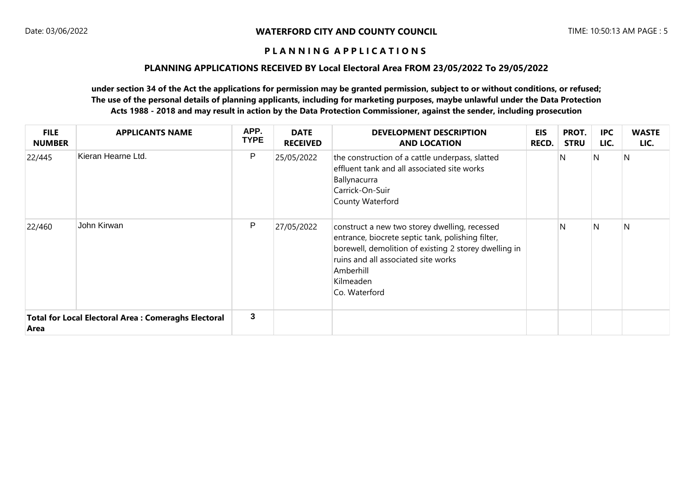#### **PLANNING APPLICATIONS RECEIVED BY Local Electoral Area FROM 23/05/2022 To 29/05/2022**

| <b>FILE</b><br><b>NUMBER</b> | <b>APPLICANTS NAME</b>                                     | APP.<br><b>TYPE</b> | <b>DATE</b><br><b>RECEIVED</b> | <b>DEVELOPMENT DESCRIPTION</b><br><b>AND LOCATION</b>                                                                                                                                                                                         | EIS<br><b>RECD.</b> | PROT.<br><b>STRU</b> | <b>IPC</b><br>LIC. | <b>WASTE</b><br>LIC. |
|------------------------------|------------------------------------------------------------|---------------------|--------------------------------|-----------------------------------------------------------------------------------------------------------------------------------------------------------------------------------------------------------------------------------------------|---------------------|----------------------|--------------------|----------------------|
| 22/445                       | Kieran Hearne Ltd.                                         | P                   | 25/05/2022                     | the construction of a cattle underpass, slatted<br>effluent tank and all associated site works<br>Ballynacurra<br>Carrick-On-Suir<br>County Waterford                                                                                         |                     | N                    | N                  | $\mathsf{N}$         |
| 22/460                       | John Kirwan                                                | P                   | 27/05/2022                     | construct a new two storey dwelling, recessed<br>entrance, biocrete septic tank, polishing filter,<br>borewell, demolition of existing 2 storey dwelling in<br>ruins and all associated site works<br>Amberhill<br>Kilmeaden<br>Co. Waterford |                     | N                    | $\mathsf{N}$       | N                    |
| Area                         | <b>Total for Local Electoral Area: Comeraghs Electoral</b> | $\mathbf{3}$        |                                |                                                                                                                                                                                                                                               |                     |                      |                    |                      |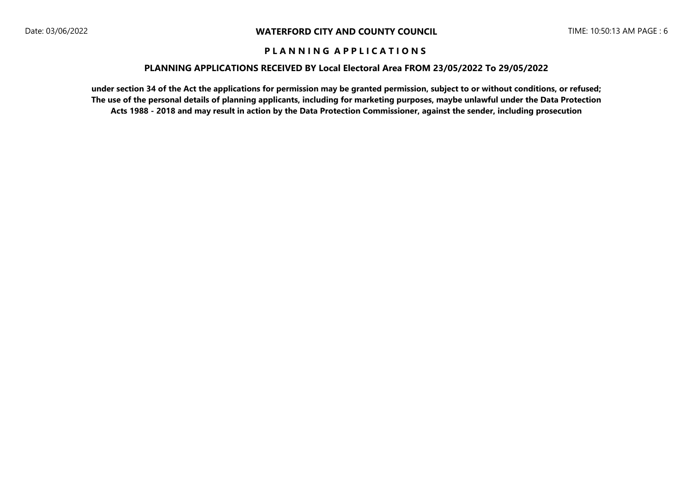#### **PLANNING APPLICATIONS RECEIVED BY Local Electoral Area FROM 23/05/2022 To 29/05/2022**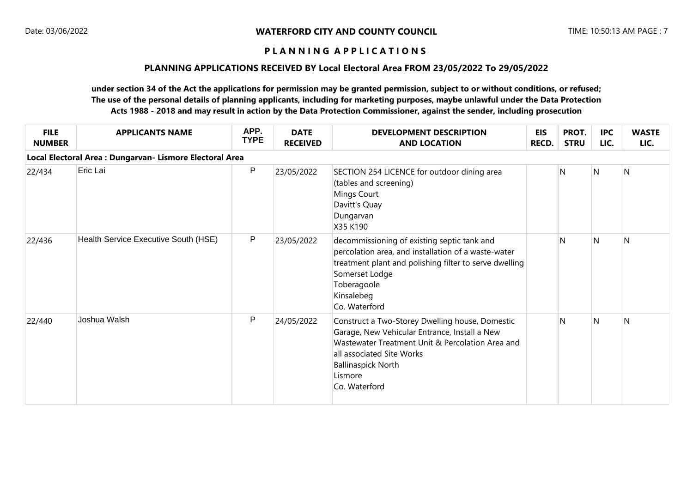#### **PLANNING APPLICATIONS RECEIVED BY Local Electoral Area FROM 23/05/2022 To 29/05/2022**

| <b>FILE</b><br><b>NUMBER</b> | <b>APPLICANTS NAME</b>                                   | APP.<br><b>TYPE</b> | <b>DATE</b><br><b>RECEIVED</b> | <b>DEVELOPMENT DESCRIPTION</b><br><b>AND LOCATION</b>                                                                                                                                                                                      | <b>EIS</b><br>RECD. | PROT.<br><b>STRU</b> | <b>IPC</b><br>LIC. | <b>WASTE</b><br>LIC. |
|------------------------------|----------------------------------------------------------|---------------------|--------------------------------|--------------------------------------------------------------------------------------------------------------------------------------------------------------------------------------------------------------------------------------------|---------------------|----------------------|--------------------|----------------------|
|                              | Local Electoral Area : Dungarvan- Lismore Electoral Area |                     |                                |                                                                                                                                                                                                                                            |                     |                      |                    |                      |
| 22/434                       | Eric Lai                                                 | $\sf P$             | 23/05/2022                     | SECTION 254 LICENCE for outdoor dining area<br>(tables and screening)<br>Mings Court<br>Davitt's Quay<br>Dungarvan<br>X35 K190                                                                                                             |                     | N                    | N                  | N                    |
| 22/436                       | Health Service Executive South (HSE)                     | ${\sf P}$           | 23/05/2022                     | decommissioning of existing septic tank and<br>percolation area, and installation of a waste-water<br>treatment plant and polishing filter to serve dwelling<br>Somerset Lodge<br>Toberagoole<br>Kinsalebeg<br>Co. Waterford               |                     | N                    | N                  | N                    |
| 22/440                       | Joshua Walsh                                             | $\mathsf{P}$        | 24/05/2022                     | Construct a Two-Storey Dwelling house, Domestic<br>Garage, New Vehicular Entrance, Install a New<br>Wastewater Treatment Unit & Percolation Area and<br>all associated Site Works<br><b>Ballinaspick North</b><br>Lismore<br>Co. Waterford |                     | N                    | N                  | N                    |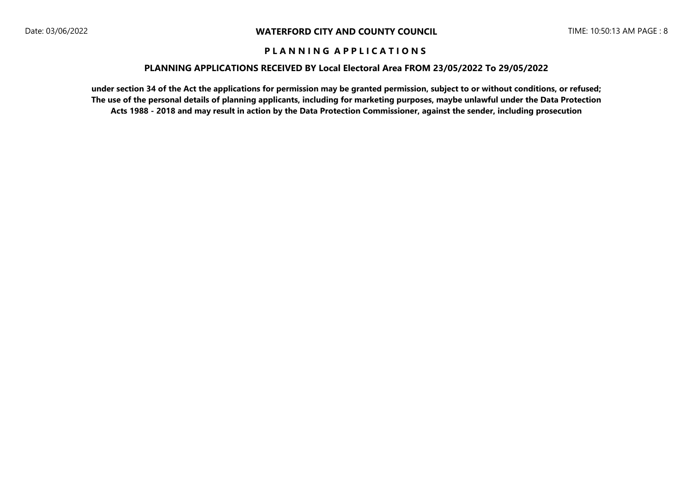#### **PLANNING APPLICATIONS RECEIVED BY Local Electoral Area FROM 23/05/2022 To 29/05/2022**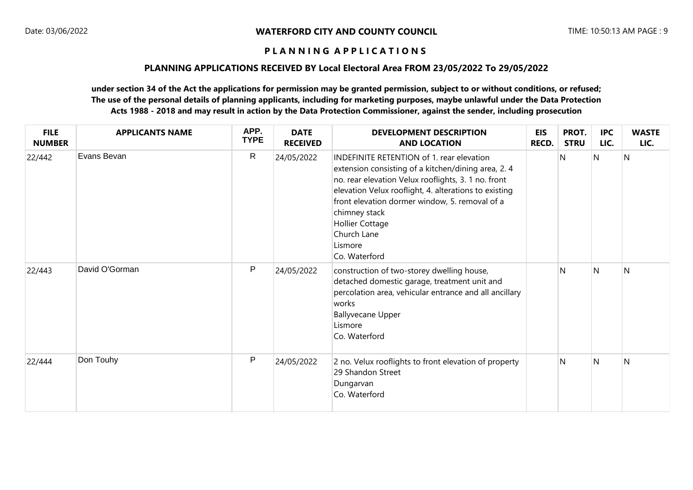#### **PLANNING APPLICATIONS RECEIVED BY Local Electoral Area FROM 23/05/2022 To 29/05/2022**

| <b>FILE</b><br><b>NUMBER</b> | <b>APPLICANTS NAME</b> | APP.<br><b>TYPE</b> | <b>DATE</b><br><b>RECEIVED</b> | <b>DEVELOPMENT DESCRIPTION</b><br><b>AND LOCATION</b>                                                                                                                                                                                                                                                                                                   | <b>EIS</b><br>RECD. | PROT.<br><b>STRU</b> | <b>IPC</b><br>LIC. | <b>WASTE</b><br>LIC. |
|------------------------------|------------------------|---------------------|--------------------------------|---------------------------------------------------------------------------------------------------------------------------------------------------------------------------------------------------------------------------------------------------------------------------------------------------------------------------------------------------------|---------------------|----------------------|--------------------|----------------------|
| 22/442                       | Evans Bevan            | $\mathsf{R}$        | 24/05/2022                     | INDEFINITE RETENTION of 1. rear elevation<br>extension consisting of a kitchen/dining area, 2.4<br>no. rear elevation Velux rooflights, 3. 1 no. front<br>elevation Velux rooflight, 4. alterations to existing<br>front elevation dormer window, 5. removal of a<br>chimney stack<br><b>Hollier Cottage</b><br>Church Lane<br>Lismore<br>Co. Waterford |                     | N                    | N                  | N                    |
| 22/443                       | David O'Gorman         | P                   | 24/05/2022                     | construction of two-storey dwelling house,<br>detached domestic garage, treatment unit and<br>percolation area, vehicular entrance and all ancillary<br>works<br><b>Ballyvecane Upper</b><br>Lismore<br>Co. Waterford                                                                                                                                   |                     | $\mathsf{N}$         | $\mathsf{N}$       | $\mathsf{N}$         |
| 22/444                       | Don Touhy              | ${\sf P}$           | 24/05/2022                     | 2 no. Velux rooflights to front elevation of property<br>29 Shandon Street<br>Dungarvan<br>Co. Waterford                                                                                                                                                                                                                                                |                     | N                    | N                  | N                    |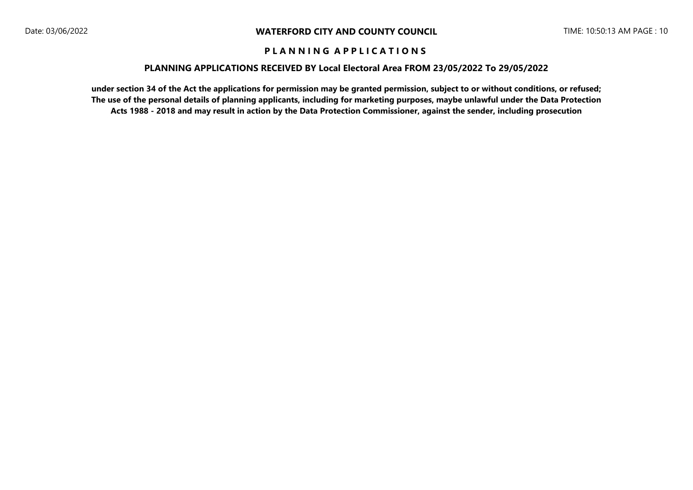#### **PLANNING APPLICATIONS RECEIVED BY Local Electoral Area FROM 23/05/2022 To 29/05/2022**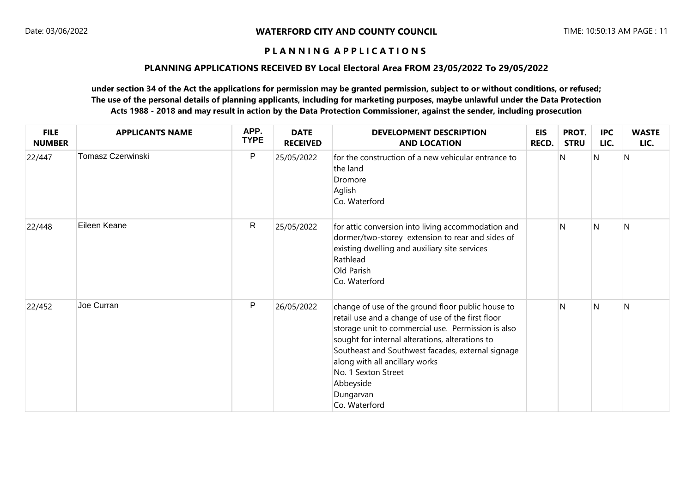#### **PLANNING APPLICATIONS RECEIVED BY Local Electoral Area FROM 23/05/2022 To 29/05/2022**

| <b>FILE</b><br><b>NUMBER</b> | <b>APPLICANTS NAME</b>   | APP.<br><b>TYPE</b> | <b>DATE</b><br><b>RECEIVED</b> | <b>DEVELOPMENT DESCRIPTION</b><br><b>AND LOCATION</b>                                                                                                                                                                                                                                                                                                                    | <b>EIS</b><br>RECD. | PROT.<br><b>STRU</b> | <b>IPC</b><br>LIC. | <b>WASTE</b><br>LIC. |
|------------------------------|--------------------------|---------------------|--------------------------------|--------------------------------------------------------------------------------------------------------------------------------------------------------------------------------------------------------------------------------------------------------------------------------------------------------------------------------------------------------------------------|---------------------|----------------------|--------------------|----------------------|
| 22/447                       | <b>Tomasz Czerwinski</b> | $\mathsf{P}$        | 25/05/2022                     | for the construction of a new vehicular entrance to<br>the land<br>Dromore<br>Aglish<br>Co. Waterford                                                                                                                                                                                                                                                                    |                     | N                    | N                  | N                    |
| 22/448                       | Eileen Keane             | $\mathsf{R}$        | 25/05/2022                     | for attic conversion into living accommodation and<br>dormer/two-storey extension to rear and sides of<br>existing dwelling and auxiliary site services<br>Rathlead<br>Old Parish<br>Co. Waterford                                                                                                                                                                       |                     | N                    | N                  | N                    |
| 22/452                       | Joe Curran               | $\mathsf{P}$        | 26/05/2022                     | change of use of the ground floor public house to<br>retail use and a change of use of the first floor<br>storage unit to commercial use. Permission is also<br>sought for internal alterations, alterations to<br>Southeast and Southwest facades, external signage<br>along with all ancillary works<br>No. 1 Sexton Street<br>Abbeyside<br>Dungarvan<br>Co. Waterford |                     | $\mathsf{N}$         | N                  | N                    |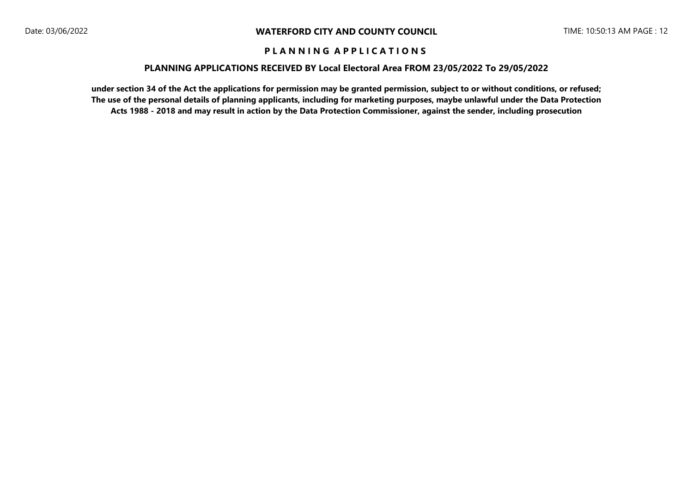#### **PLANNING APPLICATIONS RECEIVED BY Local Electoral Area FROM 23/05/2022 To 29/05/2022**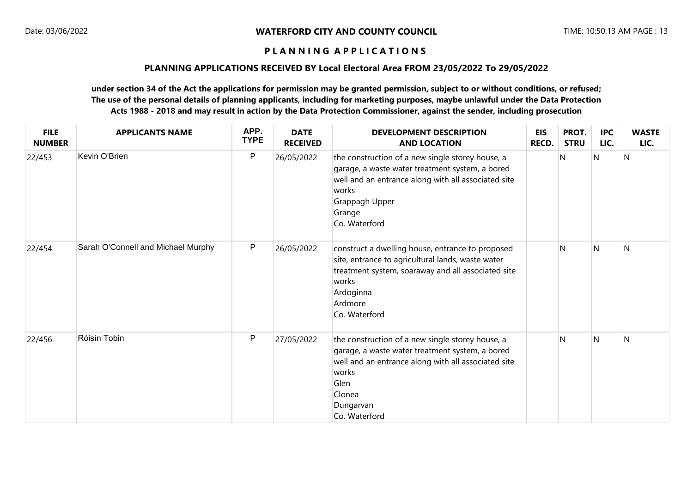#### **PLANNING APPLICATIONS RECEIVED BY Local Electoral Area FROM 23/05/2022 To 29/05/2022**

| <b>FILE</b><br><b>NUMBER</b> | <b>APPLICANTS NAME</b>             | APP.<br><b>TYPE</b> | <b>DATE</b><br><b>RECEIVED</b> | <b>DEVELOPMENT DESCRIPTION</b><br><b>AND LOCATION</b>                                                                                                                                                               | <b>EIS</b><br><b>RECD.</b> | PROT.<br><b>STRU</b> | <b>IPC</b><br>LIC. | <b>WASTE</b><br>LIC. |
|------------------------------|------------------------------------|---------------------|--------------------------------|---------------------------------------------------------------------------------------------------------------------------------------------------------------------------------------------------------------------|----------------------------|----------------------|--------------------|----------------------|
| 22/453                       | Kevin O'Brien                      | $\sf P$             | 26/05/2022                     | the construction of a new single storey house, a<br>garage, a waste water treatment system, a bored<br>well and an entrance along with all associated site<br>works<br>Grappagh Upper<br>Grange<br>Co. Waterford    |                            | $\mathsf{N}$         | N                  | $\mathsf{N}$         |
| 22/454                       | Sarah O'Connell and Michael Murphy | P                   | 26/05/2022                     | construct a dwelling house, entrance to proposed<br>site, entrance to agricultural lands, waste water<br>treatment system, soaraway and all associated site<br>works<br>Ardoginna<br>Ardmore<br>Co. Waterford       |                            | N                    | $\mathsf{N}$       | $\mathsf{N}$         |
| 22/456                       | Róisín Tobin                       | $\mathsf{P}$        | 27/05/2022                     | the construction of a new single storey house, a<br>garage, a waste water treatment system, a bored<br>well and an entrance along with all associated site<br>works<br>Glen<br>Clonea<br>Dungarvan<br>Co. Waterford |                            | N                    | $\mathsf{N}$       | N                    |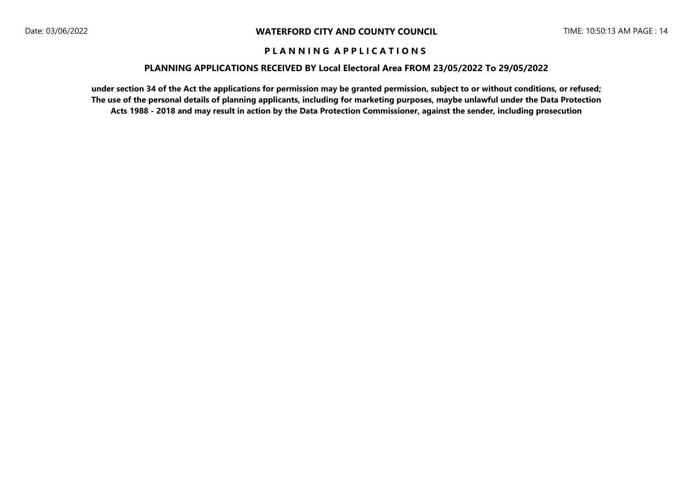#### **PLANNING APPLICATIONS RECEIVED BY Local Electoral Area FROM 23/05/2022 To 29/05/2022**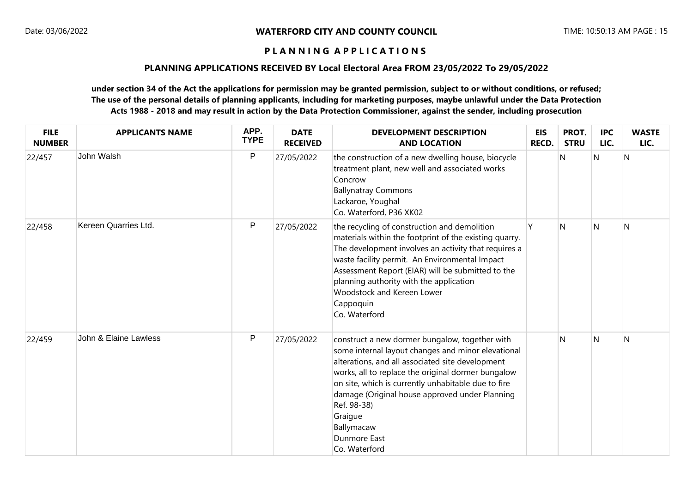### **PLANNING APPLICATIONS RECEIVED BY Local Electoral Area FROM 23/05/2022 To 29/05/2022**

| <b>FILE</b><br><b>NUMBER</b> | <b>APPLICANTS NAME</b> | APP.<br><b>TYPE</b> | <b>DATE</b><br><b>RECEIVED</b> | <b>DEVELOPMENT DESCRIPTION</b><br><b>AND LOCATION</b>                                                                                                                                                                                                                                                                                                                                                   | <b>EIS</b><br>RECD. | PROT.<br><b>STRU</b> | <b>IPC</b><br>LIC. | <b>WASTE</b><br>LIC. |
|------------------------------|------------------------|---------------------|--------------------------------|---------------------------------------------------------------------------------------------------------------------------------------------------------------------------------------------------------------------------------------------------------------------------------------------------------------------------------------------------------------------------------------------------------|---------------------|----------------------|--------------------|----------------------|
| 22/457                       | John Walsh             | $\mathsf{P}$        | 27/05/2022                     | the construction of a new dwelling house, biocycle<br>treatment plant, new well and associated works<br>Concrow<br><b>Ballynatray Commons</b><br>Lackaroe, Youghal<br>Co. Waterford, P36 XK02                                                                                                                                                                                                           |                     | N                    | N                  | N                    |
| 22/458                       | Kereen Quarries Ltd.   | ${\sf P}$           | 27/05/2022                     | the recycling of construction and demolition<br>materials within the footprint of the existing quarry.<br>The development involves an activity that requires a<br>waste facility permit. An Environmental Impact<br>Assessment Report (EIAR) will be submitted to the<br>planning authority with the application<br>Woodstock and Kereen Lower<br>Cappoquin<br>Co. Waterford                            | v                   | N                    | N                  | N                    |
| 22/459                       | John & Elaine Lawless  | $\mathsf{P}$        | 27/05/2022                     | construct a new dormer bungalow, together with<br>some internal layout changes and minor elevational<br>alterations, and all associated site development<br>works, all to replace the original dormer bungalow<br>on site, which is currently unhabitable due to fire<br>damage (Original house approved under Planning<br>Ref. 98-38)<br>Graigue<br>Ballymacaw<br><b>Dunmore East</b><br>Co. Waterford |                     | N                    | $\mathsf{N}$       | N                    |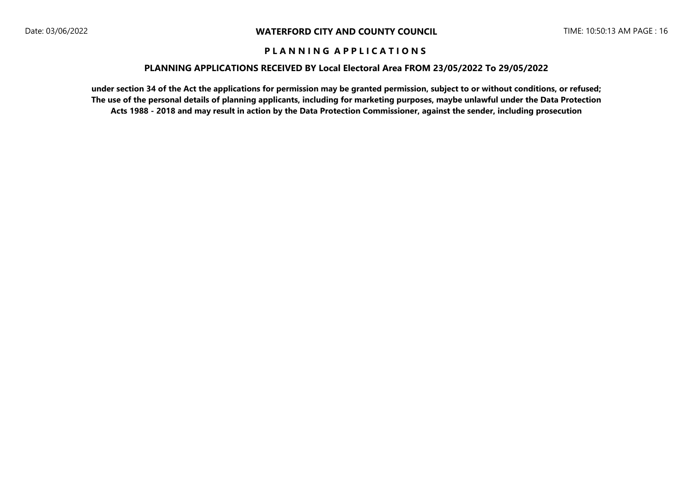#### **PLANNING APPLICATIONS RECEIVED BY Local Electoral Area FROM 23/05/2022 To 29/05/2022**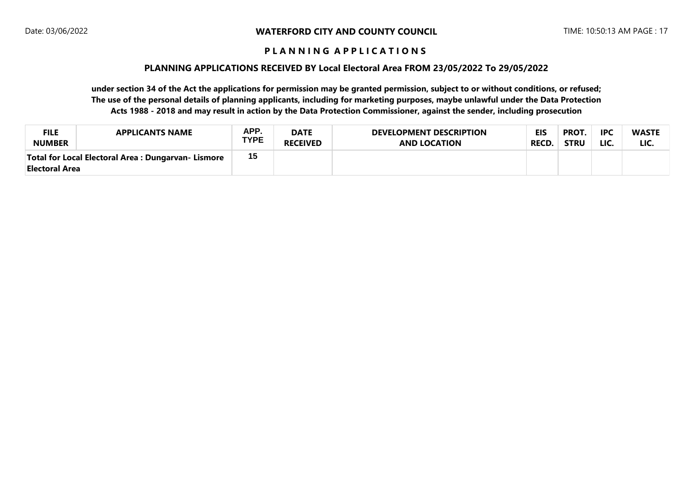#### **PLANNING APPLICATIONS RECEIVED BY Local Electoral Area FROM 23/05/2022 To 29/05/2022**

| <b>FILE</b>    | <b>APPLICANTS NAME</b>                              | APP.        | <b>DATE</b>     | <b>DEVELOPMENT DESCRIPTION</b> | <b>EIS</b>   | <b>PROT.</b> | <b>IPC</b> | <b>WASTE</b> |
|----------------|-----------------------------------------------------|-------------|-----------------|--------------------------------|--------------|--------------|------------|--------------|
| <b>NUMBER</b>  |                                                     | <b>TYPE</b> | <b>RECEIVED</b> | <b>AND LOCATION</b>            | <b>RECD.</b> | <b>STRU</b>  | LIC.       | LIC.         |
| Electoral Area | Total for Local Electoral Area : Dungarvan- Lismore | 15          |                 |                                |              |              |            |              |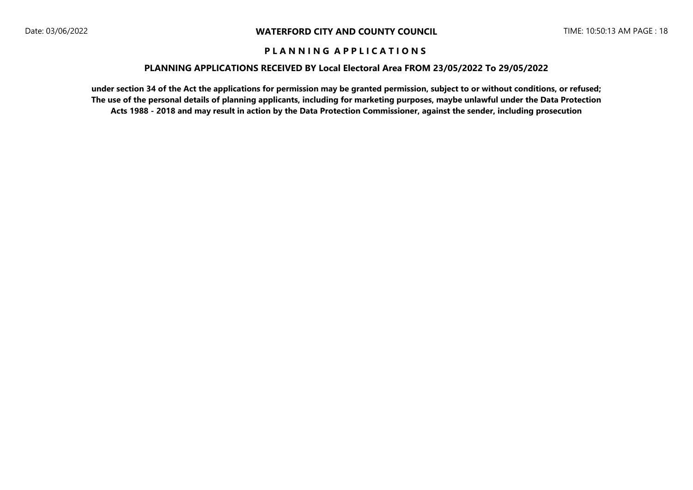#### **PLANNING APPLICATIONS RECEIVED BY Local Electoral Area FROM 23/05/2022 To 29/05/2022**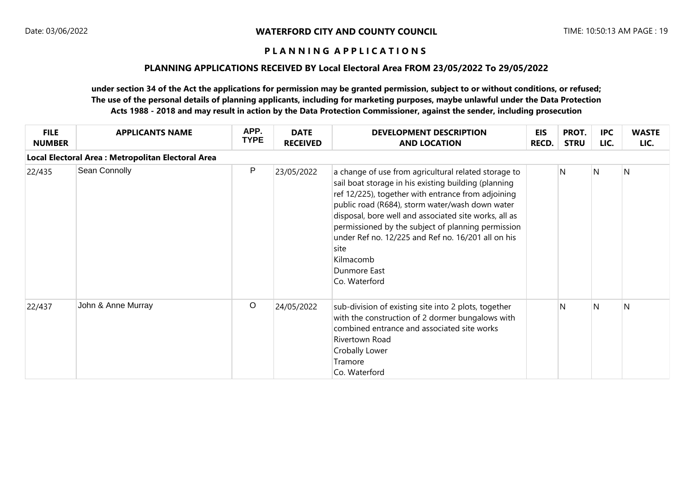## **PLANNING APPLICATIONS RECEIVED BY Local Electoral Area FROM 23/05/2022 To 29/05/2022**

| <b>FILE</b><br><b>NUMBER</b> | <b>APPLICANTS NAME</b>                             | APP.<br><b>TYPE</b> | <b>DATE</b><br><b>RECEIVED</b> | <b>DEVELOPMENT DESCRIPTION</b><br><b>AND LOCATION</b>                                                                                                                                                                                                                                                                                                                                                                                            | <b>EIS</b><br><b>RECD.</b> | PROT.<br><b>STRU</b> | <b>IPC</b><br>LIC. | <b>WASTE</b><br>LIC. |
|------------------------------|----------------------------------------------------|---------------------|--------------------------------|--------------------------------------------------------------------------------------------------------------------------------------------------------------------------------------------------------------------------------------------------------------------------------------------------------------------------------------------------------------------------------------------------------------------------------------------------|----------------------------|----------------------|--------------------|----------------------|
|                              | Local Electoral Area : Metropolitan Electoral Area |                     |                                |                                                                                                                                                                                                                                                                                                                                                                                                                                                  |                            |                      |                    |                      |
| 22/435                       | Sean Connolly                                      | P                   | 23/05/2022                     | a change of use from agricultural related storage to<br>sail boat storage in his existing building (planning<br>ref 12/225), together with entrance from adjoining<br>public road (R684), storm water/wash down water<br>disposal, bore well and associated site works, all as<br>permissioned by the subject of planning permission<br>under Ref no. 12/225 and Ref no. 16/201 all on his<br>site<br>Kilmacomb<br>Dunmore East<br>Co. Waterford |                            | N                    | N                  | $\overline{N}$       |
| 22/437                       | John & Anne Murray                                 | $\circ$             | 24/05/2022                     | sub-division of existing site into 2 plots, together<br>with the construction of 2 dormer bungalows with<br>combined entrance and associated site works<br>Rivertown Road<br>Crobally Lower<br>Tramore<br>Co. Waterford                                                                                                                                                                                                                          |                            | N                    | N                  | N                    |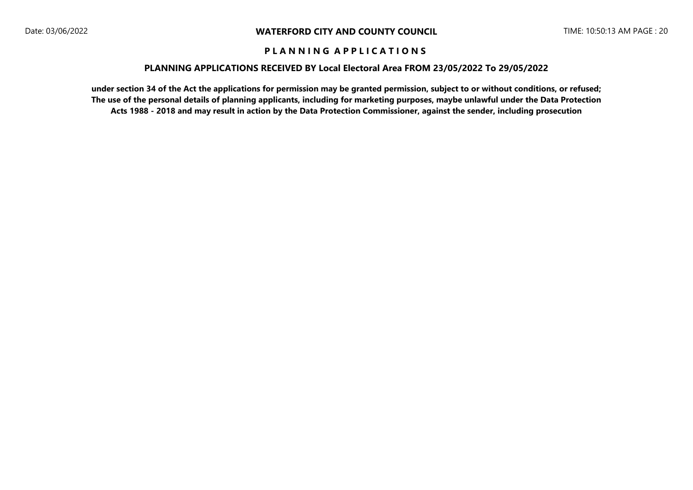#### **PLANNING APPLICATIONS RECEIVED BY Local Electoral Area FROM 23/05/2022 To 29/05/2022**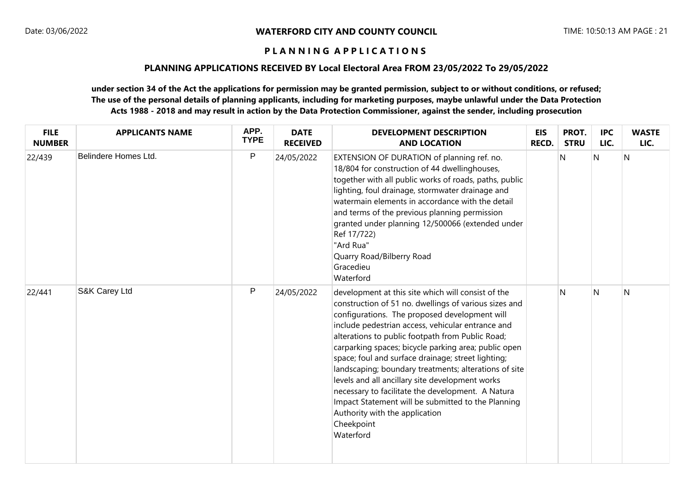#### **PLANNING APPLICATIONS RECEIVED BY Local Electoral Area FROM 23/05/2022 To 29/05/2022**

| <b>FILE</b><br><b>NUMBER</b> | <b>APPLICANTS NAME</b> | APP.<br><b>TYPE</b> | <b>DATE</b><br><b>RECEIVED</b> | <b>DEVELOPMENT DESCRIPTION</b><br><b>AND LOCATION</b>                                                                                                                                                                                                                                                                                                                                                                                                                                                                                                                                                                                                                   | <b>EIS</b><br><b>RECD.</b> | PROT.<br><b>STRU</b> | <b>IPC</b><br>LIC. | <b>WASTE</b><br>LIC. |
|------------------------------|------------------------|---------------------|--------------------------------|-------------------------------------------------------------------------------------------------------------------------------------------------------------------------------------------------------------------------------------------------------------------------------------------------------------------------------------------------------------------------------------------------------------------------------------------------------------------------------------------------------------------------------------------------------------------------------------------------------------------------------------------------------------------------|----------------------------|----------------------|--------------------|----------------------|
| 22/439                       | Belindere Homes Ltd.   | $\mathsf{P}$        | 24/05/2022                     | EXTENSION OF DURATION of planning ref. no.<br>18/804 for construction of 44 dwellinghouses,<br>together with all public works of roads, paths, public<br>lighting, foul drainage, stormwater drainage and<br>watermain elements in accordance with the detail<br>and terms of the previous planning permission<br>granted under planning 12/500066 (extended under<br>Ref 17/722)<br>"Ard Rua"<br>Quarry Road/Bilberry Road<br>Gracedieu<br>Waterford                                                                                                                                                                                                                   |                            | N                    | N                  | N                    |
| 22/441                       | S&K Carey Ltd          | $\mathsf{P}$        | 24/05/2022                     | development at this site which will consist of the<br>construction of 51 no. dwellings of various sizes and<br>configurations. The proposed development will<br>include pedestrian access, vehicular entrance and<br>alterations to public footpath from Public Road;<br>carparking spaces; bicycle parking area; public open<br>space; foul and surface drainage; street lighting;<br>landscaping; boundary treatments; alterations of site<br>levels and all ancillary site development works<br>necessary to facilitate the development. A Natura<br>Impact Statement will be submitted to the Planning<br>Authority with the application<br>Cheekpoint<br>Waterford |                            | N                    | N                  | N                    |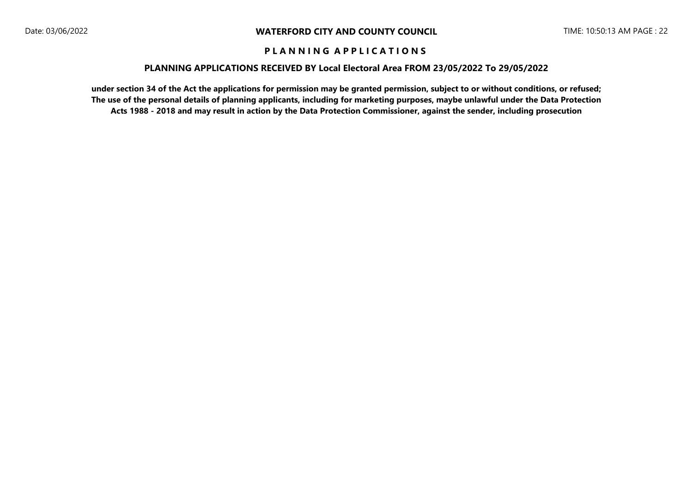#### **PLANNING APPLICATIONS RECEIVED BY Local Electoral Area FROM 23/05/2022 To 29/05/2022**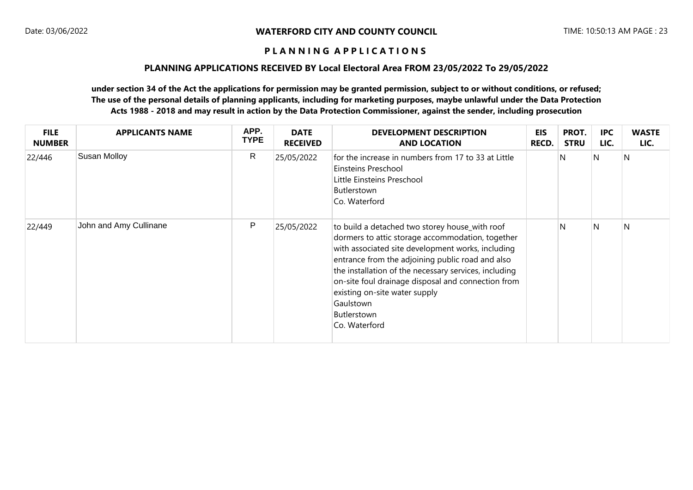### **PLANNING APPLICATIONS RECEIVED BY Local Electoral Area FROM 23/05/2022 To 29/05/2022**

| <b>FILE</b><br><b>NUMBER</b> | <b>APPLICANTS NAME</b> | APP.<br><b>TYPE</b> | <b>DATE</b><br><b>RECEIVED</b> | <b>DEVELOPMENT DESCRIPTION</b><br><b>AND LOCATION</b>                                                                                                                                                                                                                                                                                                                                                    | EIS<br><b>RECD.</b> | PROT.<br><b>STRU</b> | <b>IPC</b><br>LIC. | <b>WASTE</b><br>LIC. |
|------------------------------|------------------------|---------------------|--------------------------------|----------------------------------------------------------------------------------------------------------------------------------------------------------------------------------------------------------------------------------------------------------------------------------------------------------------------------------------------------------------------------------------------------------|---------------------|----------------------|--------------------|----------------------|
| 22/446                       | <b>Susan Molloy</b>    | $\mathsf{R}$        | 25/05/2022                     | for the increase in numbers from 17 to 33 at Little<br>Einsteins Preschool<br>Little Einsteins Preschool<br>Butlerstown<br>Co. Waterford                                                                                                                                                                                                                                                                 |                     | N                    | N                  | N                    |
| 22/449                       | John and Amy Cullinane | P                   | 25/05/2022                     | to build a detached two storey house_with roof<br>dormers to attic storage accommodation, together<br>with associated site development works, including<br>entrance from the adjoining public road and also<br>the installation of the necessary services, including<br>on-site foul drainage disposal and connection from<br>existing on-site water supply<br>Gaulstown<br>Butlerstown<br>Co. Waterford |                     | N                    | N                  | N                    |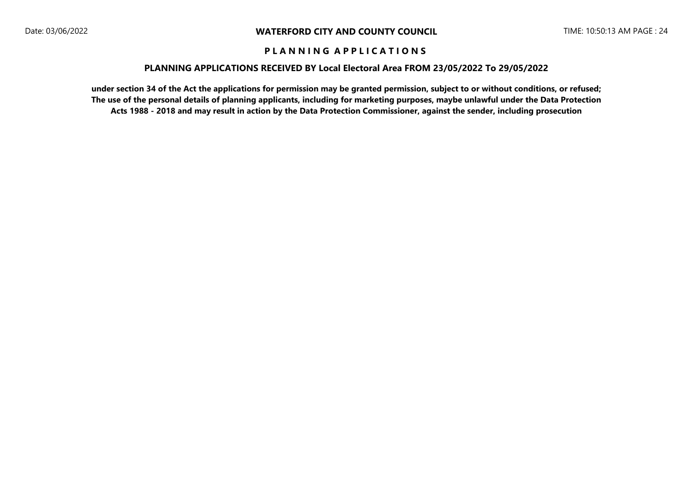#### **PLANNING APPLICATIONS RECEIVED BY Local Electoral Area FROM 23/05/2022 To 29/05/2022**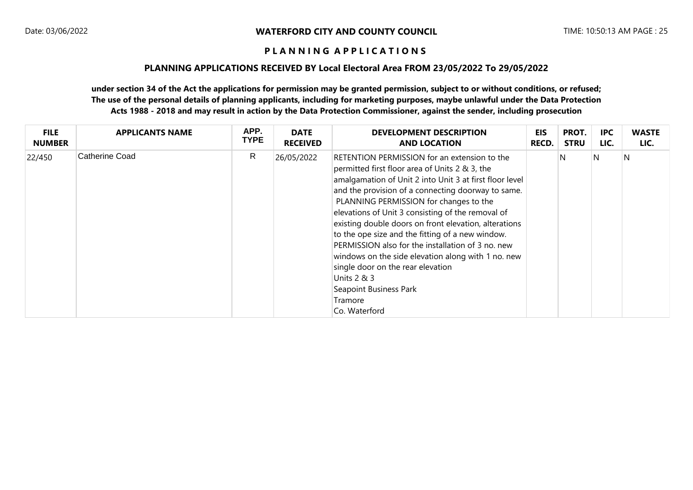#### **PLANNING APPLICATIONS RECEIVED BY Local Electoral Area FROM 23/05/2022 To 29/05/2022**

| <b>FILE</b>   | <b>APPLICANTS NAME</b> | APP.        | <b>DATE</b>     | <b>DEVELOPMENT DESCRIPTION</b>                                                                                                                                                                                                                                                                                                                                                                                                                                                                                                                                                                                                                   | EIS   | PROT.       | <b>IPC</b> | <b>WASTE</b> |
|---------------|------------------------|-------------|-----------------|--------------------------------------------------------------------------------------------------------------------------------------------------------------------------------------------------------------------------------------------------------------------------------------------------------------------------------------------------------------------------------------------------------------------------------------------------------------------------------------------------------------------------------------------------------------------------------------------------------------------------------------------------|-------|-------------|------------|--------------|
| <b>NUMBER</b> |                        | <b>TYPE</b> | <b>RECEIVED</b> | <b>AND LOCATION</b>                                                                                                                                                                                                                                                                                                                                                                                                                                                                                                                                                                                                                              | RECD. | <b>STRU</b> | LIC.       | LIC.         |
| 22/450        | Catherine Coad         | R           | 26/05/2022      | RETENTION PERMISSION for an extension to the<br>permitted first floor area of Units 2 & 3, the<br>amalgamation of Unit 2 into Unit 3 at first floor level<br>and the provision of a connecting doorway to same.<br>PLANNING PERMISSION for changes to the<br>elevations of Unit 3 consisting of the removal of<br>existing double doors on front elevation, alterations<br>to the ope size and the fitting of a new window.<br>PERMISSION also for the installation of 3 no. new<br>windows on the side elevation along with 1 no. new<br>single door on the rear elevation<br>Units 2 & 3<br>Seapoint Business Park<br>Tramore<br>Co. Waterford |       | N           | N          | N            |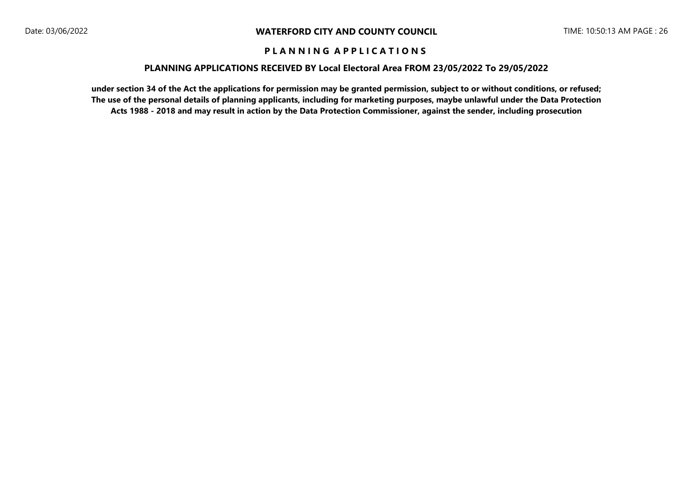#### **PLANNING APPLICATIONS RECEIVED BY Local Electoral Area FROM 23/05/2022 To 29/05/2022**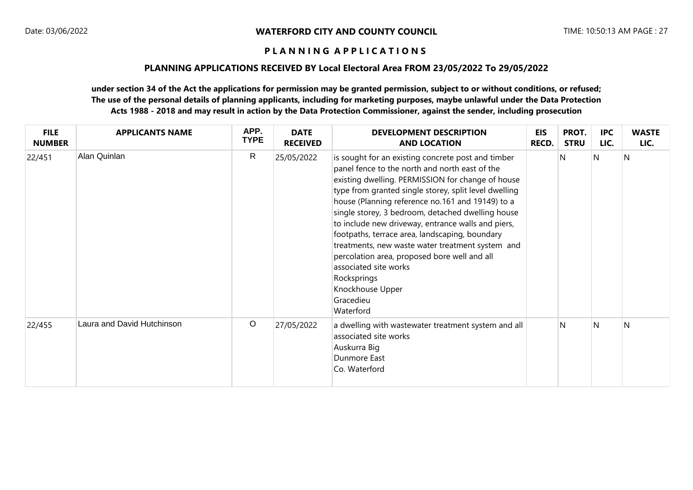#### **PLANNING APPLICATIONS RECEIVED BY Local Electoral Area FROM 23/05/2022 To 29/05/2022**

| <b>FILE</b><br><b>NUMBER</b> | <b>APPLICANTS NAME</b>     | APP.<br><b>TYPE</b> | <b>DATE</b><br><b>RECEIVED</b> | <b>DEVELOPMENT DESCRIPTION</b><br><b>AND LOCATION</b>                                                                                                                                                                                                                                                                                                                                                                                                                                                                                                                                                                         | EIS<br>RECD. | PROT.<br><b>STRU</b> | <b>IPC</b><br>LIC. | <b>WASTE</b><br>LIC. |
|------------------------------|----------------------------|---------------------|--------------------------------|-------------------------------------------------------------------------------------------------------------------------------------------------------------------------------------------------------------------------------------------------------------------------------------------------------------------------------------------------------------------------------------------------------------------------------------------------------------------------------------------------------------------------------------------------------------------------------------------------------------------------------|--------------|----------------------|--------------------|----------------------|
| 22/451                       | Alan Quinlan               | $\mathsf{R}$        | 25/05/2022                     | is sought for an existing concrete post and timber<br>panel fence to the north and north east of the<br>existing dwelling. PERMISSION for change of house<br>type from granted single storey, split level dwelling<br>house (Planning reference no.161 and 19149) to a<br>single storey, 3 bedroom, detached dwelling house<br>to include new driveway, entrance walls and piers,<br>footpaths, terrace area, landscaping, boundary<br>treatments, new waste water treatment system and<br>percolation area, proposed bore well and all<br>associated site works<br>Rocksprings<br>Knockhouse Upper<br>Gracedieu<br>Waterford |              | N                    | N                  | N                    |
| 22/455                       | Laura and David Hutchinson | $\circ$             | 27/05/2022                     | a dwelling with wastewater treatment system and all<br>associated site works<br>Auskurra Big<br>Dunmore East<br>Co. Waterford                                                                                                                                                                                                                                                                                                                                                                                                                                                                                                 |              | N                    | N                  | N                    |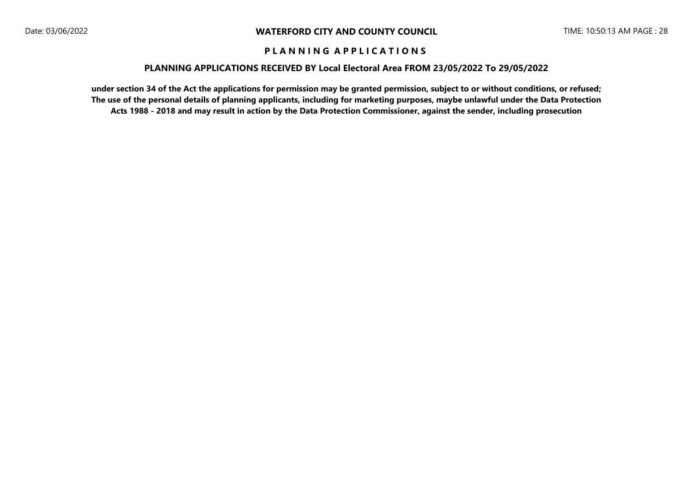#### **PLANNING APPLICATIONS RECEIVED BY Local Electoral Area FROM 23/05/2022 To 29/05/2022**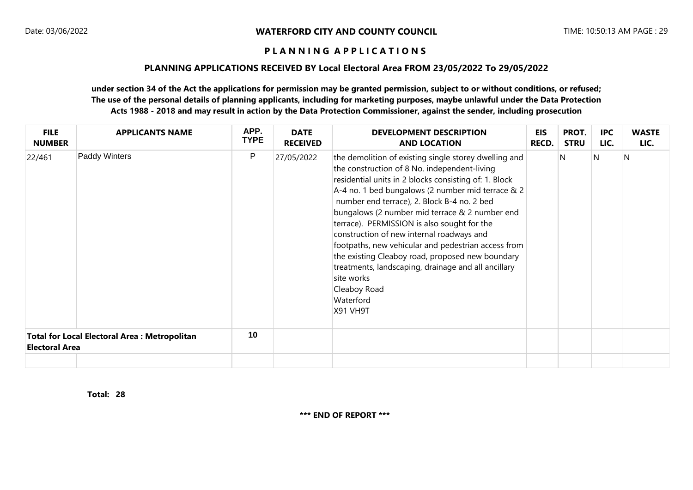### **PLANNING APPLICATIONS RECEIVED BY Local Electoral Area FROM 23/05/2022 To 29/05/2022**

## **under section 34 of the Act the applications for permission may be granted permission, subject to or without conditions, or refused; The use of the personal details of planning applicants, including for marketing purposes, maybe unlawful under the Data Protection Acts 1988 - 2018 and may result in action by the Data Protection Commissioner, against the sender, including prosecution**

| <b>FILE</b><br><b>NUMBER</b>                                                 | <b>APPLICANTS NAME</b> | APP.<br><b>TYPE</b> | <b>DATE</b><br><b>RECEIVED</b> | <b>DEVELOPMENT DESCRIPTION</b><br><b>AND LOCATION</b>                                                                                                                                                                                                                                                                                                                                                                                                                                                                                                                                                                                     | <b>EIS</b><br><b>RECD.</b> | PROT.<br><b>STRU</b> | <b>IPC</b><br>LIC. | <b>WASTE</b><br>LIC. |
|------------------------------------------------------------------------------|------------------------|---------------------|--------------------------------|-------------------------------------------------------------------------------------------------------------------------------------------------------------------------------------------------------------------------------------------------------------------------------------------------------------------------------------------------------------------------------------------------------------------------------------------------------------------------------------------------------------------------------------------------------------------------------------------------------------------------------------------|----------------------------|----------------------|--------------------|----------------------|
| 22/461                                                                       | Paddy Winters          | P                   | 27/05/2022                     | the demolition of existing single storey dwelling and<br>the construction of 8 No. independent-living<br>residential units in 2 blocks consisting of: 1. Block<br>A-4 no. 1 bed bungalows (2 number mid terrace & 2<br>number end terrace), 2. Block B-4 no. 2 bed<br>bungalows (2 number mid terrace & 2 number end<br>terrace). PERMISSION is also sought for the<br>construction of new internal roadways and<br>footpaths, new vehicular and pedestrian access from<br>the existing Cleaboy road, proposed new boundary<br>treatments, landscaping, drainage and all ancillary<br>site works<br>Cleaboy Road<br>Waterford<br>X91 VH9T |                            | N                    | N                  | N                    |
| <b>Total for Local Electoral Area: Metropolitan</b><br><b>Electoral Area</b> |                        | 10                  |                                |                                                                                                                                                                                                                                                                                                                                                                                                                                                                                                                                                                                                                                           |                            |                      |                    |                      |
|                                                                              |                        |                     |                                |                                                                                                                                                                                                                                                                                                                                                                                                                                                                                                                                                                                                                                           |                            |                      |                    |                      |

**28 Total:** 

**\*\*\* END OF REPORT \*\*\***